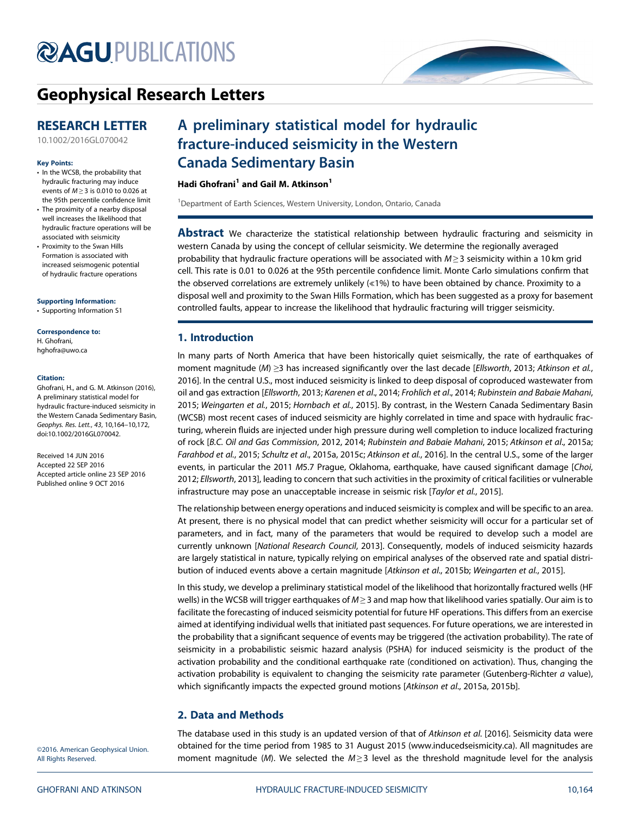# **@AGU[PUBLICATIONS](http://publications.agu.org/journals/)**

### [Geophysical Research Letters](http://onlinelibrary.wiley.com/journal/10.1002/(ISSN)1944-8007)

### RESEARCH LETTER

[10.1002/2016GL070042](http://dx.doi.org/10.1002/2016GL070042)

### Key Points:

- In the WCSB, the probability that hydraulic fracturing may induce events of  $M \geq 3$  is 0.010 to 0.026 at the 95th percentile confidence limit
- The proximity of a nearby disposal well increases the likelihood that hydraulic fracture operations will be associated with seismicity
- Proximity to the Swan Hills Formation is associated with increased seismogenic potential of hydraulic fracture operations

### [Supporting Information:](http://dx.doi.org/10.1002/2016GL070042)

[•](http://dx.doi.org/10.1002/2016GL070042) [Supporting Information S1](http://dx.doi.org/10.1002/2016GL070042)

### Correspondence to:

H. Ghofrani, [hghofra@uwo.ca](mailto:hghofra@uwo.ca)

### Citation:

Ghofrani, H., and G. M. Atkinson (2016), A preliminary statistical model for hydraulic fracture-induced seismicity in the Western Canada Sedimentary Basin, Geophys. Res. Lett., 43, 10,164–10,172, doi:10.1002/2016GL070042.

Received 14 JUN 2016 Accepted 22 SEP 2016 Accepted article online 23 SEP 2016 Published online 9 OCT 2016

## A preliminary statistical model for hydraulic fracture-induced seismicity in the Western Canada Sedimentary Basin

### Hadi Ghofrani<sup>1</sup> and Gail M. Atkinson<sup>1</sup>

<sup>1</sup>Department of Earth Sciences, Western University, London, Ontario, Canada

**Abstract** We characterize the statistical relationship between hydraulic fracturing and seismicity in western Canada by using the concept of cellular seismicity. We determine the regionally averaged probability that hydraulic fracture operations will be associated with  $M \geq 3$  seismicity within a 10 km grid cell. This rate is 0.01 to 0.026 at the 95th percentile confidence limit. Monte Carlo simulations confirm that the observed correlations are extremely unlikely (≪1%) to have been obtained by chance. Proximity to a disposal well and proximity to the Swan Hills Formation, which has been suggested as a proxy for basement controlled faults, appear to increase the likelihood that hydraulic fracturing will trigger seismicity.

### 1. Introduction

In many parts of North America that have been historically quiet seismically, the rate of earthquakes of moment magnitude (M) ≥3 has increased significantly over the last decade [Ellsworth, 2013; Atkinson et al., 2016]. In the central U.S., most induced seismicity is linked to deep disposal of coproduced wastewater from oil and gas extraction [Ellsworth, 2013; Karenen et al., 2014; Frohlich et al., 2014; Rubinstein and Babaie Mahani, 2015; Weingarten et al., 2015; Hornbach et al., 2015]. By contrast, in the Western Canada Sedimentary Basin (WCSB) most recent cases of induced seismicity are highly correlated in time and space with hydraulic fracturing, wherein fluids are injected under high pressure during well completion to induce localized fracturing of rock [B.C. Oil and Gas Commission, 2012, 2014; Rubinstein and Babaie Mahani, 2015; Atkinson et al., 2015a; Farahbod et al., 2015; Schultz et al., 2015a, 2015c; Atkinson et al., 2016]. In the central U.S., some of the larger events, in particular the 2011 M5.7 Prague, Oklahoma, earthquake, have caused significant damage [Choi, 2012; Ellsworth, 2013], leading to concern that such activities in the proximity of critical facilities or vulnerable infrastructure may pose an unacceptable increase in seismic risk [Taylor et al., 2015].

The relationship between energy operations and induced seismicity is complex and will be specific to an area. At present, there is no physical model that can predict whether seismicity will occur for a particular set of parameters, and in fact, many of the parameters that would be required to develop such a model are currently unknown [National Research Council, 2013]. Consequently, models of induced seismicity hazards are largely statistical in nature, typically relying on empirical analyses of the observed rate and spatial distribution of induced events above a certain magnitude [Atkinson et al., 2015b; Weingarten et al., 2015].

In this study, we develop a preliminary statistical model of the likelihood that horizontally fractured wells (HF wells) in the WCSB will trigger earthquakes of  $M \geq 3$  and map how that likelihood varies spatially. Our aim is to facilitate the forecasting of induced seismicity potential for future HF operations. This differs from an exercise aimed at identifying individual wells that initiated past sequences. For future operations, we are interested in the probability that a significant sequence of events may be triggered (the activation probability). The rate of seismicity in a probabilistic seismic hazard analysis (PSHA) for induced seismicity is the product of the activation probability and the conditional earthquake rate (conditioned on activation). Thus, changing the activation probability is equivalent to changing the seismicity rate parameter (Gutenberg-Richter a value), which significantly impacts the expected ground motions [Atkinson et al., 2015a, 2015b].

### 2. Data and Methods

The database used in this study is an updated version of that of Atkinson et al. [2016]. Seismicity data were obtained for the time period from 1985 to 31 August 2015 [\(www.inducedseismicity.ca\)](http://www.inducedseismicity.ca). All magnitudes are moment magnitude (M). We selected the  $M \geq 3$  level as the threshold magnitude level for the analysis

©2016. American Geophysical Union. All Rights Reserved.

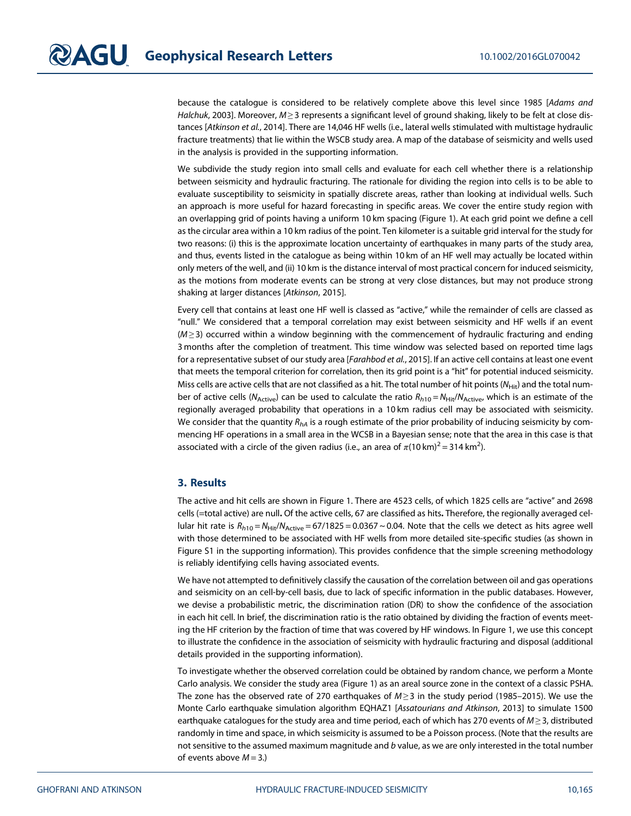because the catalogue is considered to be relatively complete above this level since 1985 [Adams and Halchuk, 2003]. Moreover,  $M \ge 3$  represents a significant level of ground shaking, likely to be felt at close distances [Atkinson et al., 2014]. There are 14,046 HF wells (i.e., lateral wells stimulated with multistage hydraulic fracture treatments) that lie within the WSCB study area. A map of the database of seismicity and wells used in the analysis is provided in the supporting information.

We subdivide the study region into small cells and evaluate for each cell whether there is a relationship between seismicity and hydraulic fracturing. The rationale for dividing the region into cells is to be able to evaluate susceptibility to seismicity in spatially discrete areas, rather than looking at individual wells. Such an approach is more useful for hazard forecasting in specific areas. We cover the entire study region with an overlapping grid of points having a uniform 10 km spacing (Figure 1). At each grid point we define a cell as the circular area within a 10 km radius of the point. Ten kilometer is a suitable grid interval for the study for two reasons: (i) this is the approximate location uncertainty of earthquakes in many parts of the study area, and thus, events listed in the catalogue as being within 10 km of an HF well may actually be located within only meters of the well, and (ii) 10 km is the distance interval of most practical concern for induced seismicity, as the motions from moderate events can be strong at very close distances, but may not produce strong shaking at larger distances [Atkinson, 2015].

Every cell that contains at least one HF well is classed as "active," while the remainder of cells are classed as "null." We considered that a temporal correlation may exist between seismicity and HF wells if an event  $(M \geq 3)$  occurred within a window beginning with the commencement of hydraulic fracturing and ending 3 months after the completion of treatment. This time window was selected based on reported time lags for a representative subset of our study area [Farahbod et al., 2015]. If an active cell contains at least one event that meets the temporal criterion for correlation, then its grid point is a "hit" for potential induced seismicity. Miss cells are active cells that are not classified as a hit. The total number of hit points (N<sub>Hit</sub>) and the total number of active cells (N<sub>Active</sub>) can be used to calculate the ratio  $R_{h10} = N_{Hit}/N_{Active}$ , which is an estimate of the regionally averaged probability that operations in a 10 km radius cell may be associated with seismicity. We consider that the quantity  $R_{hA}$  is a rough estimate of the prior probability of inducing seismicity by commencing HF operations in a small area in the WCSB in a Bayesian sense; note that the area in this case is that associated with a circle of the given radius (i.e., an area of  $\pi$ (10 km) $^2$  = 314 km<sup>2</sup>).

### 3. Results

The active and hit cells are shown in Figure 1. There are 4523 cells, of which 1825 cells are "active" and 2698 cells (=total active) are null. Of the active cells, 67 are classified as hits. Therefore, the regionally averaged cellular hit rate is  $R_{h10} = N_{Hit}/N_{Active} = 67/1825 = 0.0367 \sim 0.04$ . Note that the cells we detect as hits agree well with those determined to be associated with HF wells from more detailed site-specific studies (as shown in Figure S1 in the supporting information). This provides confidence that the simple screening methodology is reliably identifying cells having associated events.

We have not attempted to definitively classify the causation of the correlation between oil and gas operations and seismicity on an cell-by-cell basis, due to lack of specific information in the public databases. However, we devise a probabilistic metric, the discrimination ration (DR) to show the confidence of the association in each hit cell. In brief, the discrimination ratio is the ratio obtained by dividing the fraction of events meeting the HF criterion by the fraction of time that was covered by HF windows. In Figure 1, we use this concept to illustrate the confidence in the association of seismicity with hydraulic fracturing and disposal (additional details provided in the supporting information).

To investigate whether the observed correlation could be obtained by random chance, we perform a Monte Carlo analysis. We consider the study area (Figure 1) as an areal source zone in the context of a classic PSHA. The zone has the observed rate of 270 earthquakes of  $M \geq 3$  in the study period (1985–2015). We use the Monte Carlo earthquake simulation algorithm EQHAZ1 [Assatourians and Atkinson, 2013] to simulate 1500 earthquake catalogues for the study area and time period, each of which has 270 events of  $M \geq 3$ , distributed randomly in time and space, in which seismicity is assumed to be a Poisson process. (Note that the results are not sensitive to the assumed maximum magnitude and b value, as we are only interested in the total number of events above  $M = 3$ .)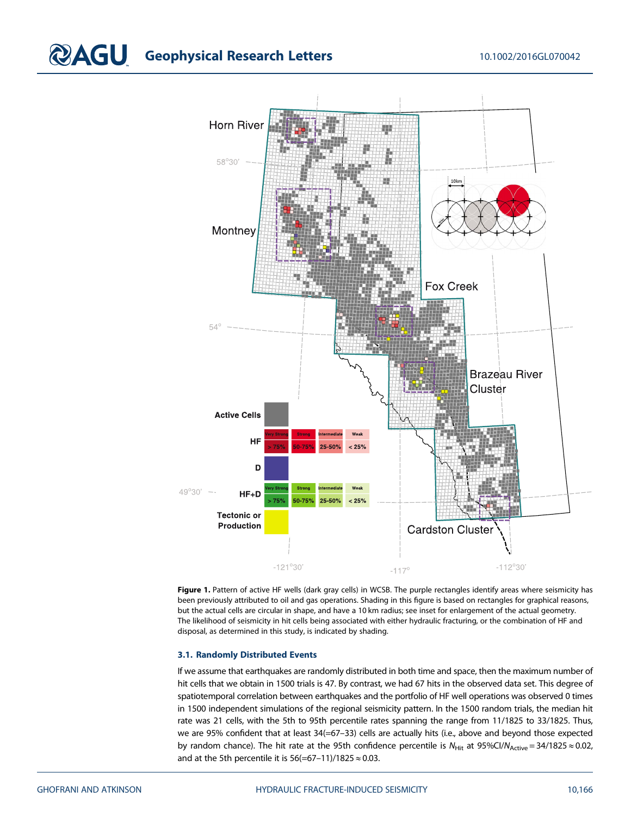# **CAGU** Geophysical Research Letters 10.1002/2016GL070042



Figure 1. Pattern of active HF wells (dark gray cells) in WCSB. The purple rectangles identify areas where seismicity has been previously attributed to oil and gas operations. Shading in this figure is based on rectangles for graphical reasons, but the actual cells are circular in shape, and have a 10 km radius; see inset for enlargement of the actual geometry. The likelihood of seismicity in hit cells being associated with either hydraulic fracturing, or the combination of HF and disposal, as determined in this study, is indicated by shading.

### 3.1. Randomly Distributed Events

If we assume that earthquakes are randomly distributed in both time and space, then the maximum number of hit cells that we obtain in 1500 trials is 47. By contrast, we had 67 hits in the observed data set. This degree of spatiotemporal correlation between earthquakes and the portfolio of HF well operations was observed 0 times in 1500 independent simulations of the regional seismicity pattern. In the 1500 random trials, the median hit rate was 21 cells, with the 5th to 95th percentile rates spanning the range from 11/1825 to 33/1825. Thus, we are 95% confident that at least 34(=67-33) cells are actually hits (i.e., above and beyond those expected by random chance). The hit rate at the 95th confidence percentile is  $N_{Hit}$  at 95%Cl/N<sub>Active</sub> = 34/1825  $\approx$  0.02, and at the 5th percentile it is  $56(=67-11)/1825 \approx 0.03$ .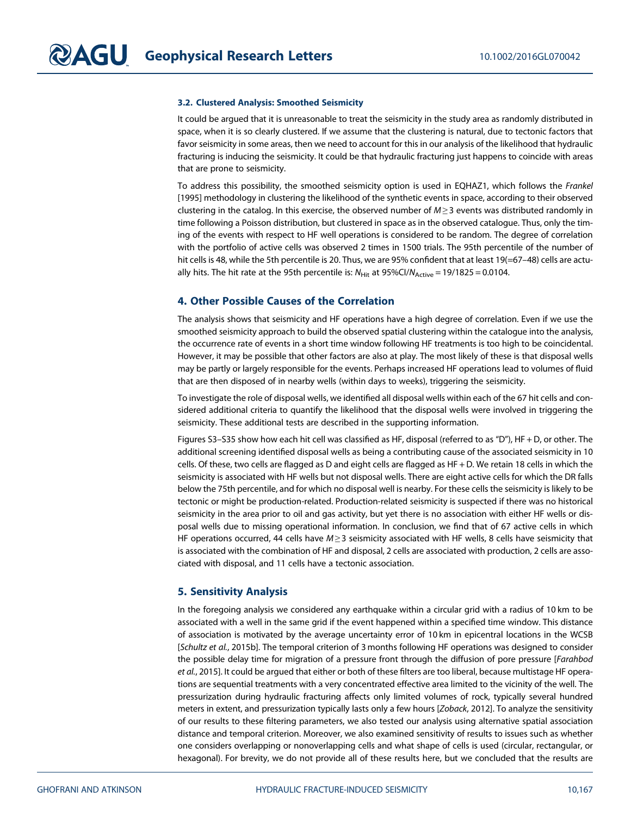### 3.2. Clustered Analysis: Smoothed Seismicity

It could be argued that it is unreasonable to treat the seismicity in the study area as randomly distributed in space, when it is so clearly clustered. If we assume that the clustering is natural, due to tectonic factors that favor seismicity in some areas, then we need to account for this in our analysis of the likelihood that hydraulic fracturing is inducing the seismicity. It could be that hydraulic fracturing just happens to coincide with areas that are prone to seismicity.

To address this possibility, the smoothed seismicity option is used in EQHAZ1, which follows the Frankel [1995] methodology in clustering the likelihood of the synthetic events in space, according to their observed clustering in the catalog. In this exercise, the observed number of  $M \geq 3$  events was distributed randomly in time following a Poisson distribution, but clustered in space as in the observed catalogue. Thus, only the timing of the events with respect to HF well operations is considered to be random. The degree of correlation with the portfolio of active cells was observed 2 times in 1500 trials. The 95th percentile of the number of hit cells is 48, while the 5th percentile is 20. Thus, we are 95% confident that at least 19(=67-48) cells are actually hits. The hit rate at the 95th percentile is:  $N_{Hit}$  at 95%Cl/ $N_{Active}$  = 19/1825 = 0.0104.

### 4. Other Possible Causes of the Correlation

The analysis shows that seismicity and HF operations have a high degree of correlation. Even if we use the smoothed seismicity approach to build the observed spatial clustering within the catalogue into the analysis, the occurrence rate of events in a short time window following HF treatments is too high to be coincidental. However, it may be possible that other factors are also at play. The most likely of these is that disposal wells may be partly or largely responsible for the events. Perhaps increased HF operations lead to volumes of fluid that are then disposed of in nearby wells (within days to weeks), triggering the seismicity.

To investigate the role of disposal wells, we identified all disposal wells within each of the 67 hit cells and considered additional criteria to quantify the likelihood that the disposal wells were involved in triggering the seismicity. These additional tests are described in the supporting information.

Figures S3–S35 show how each hit cell was classified as HF, disposal (referred to as "D"), HF + D, or other. The additional screening identified disposal wells as being a contributing cause of the associated seismicity in 10 cells. Of these, two cells are flagged as D and eight cells are flagged as HF + D. We retain 18 cells in which the seismicity is associated with HF wells but not disposal wells. There are eight active cells for which the DR falls below the 75th percentile, and for which no disposal well is nearby. For these cells the seismicity is likely to be tectonic or might be production-related. Production-related seismicity is suspected if there was no historical seismicity in the area prior to oil and gas activity, but yet there is no association with either HF wells or disposal wells due to missing operational information. In conclusion, we find that of 67 active cells in which HF operations occurred, 44 cells have  $M \geq 3$  seismicity associated with HF wells, 8 cells have seismicity that is associated with the combination of HF and disposal, 2 cells are associated with production, 2 cells are associated with disposal, and 11 cells have a tectonic association.

### 5. Sensitivity Analysis

In the foregoing analysis we considered any earthquake within a circular grid with a radius of 10 km to be associated with a well in the same grid if the event happened within a specified time window. This distance of association is motivated by the average uncertainty error of 10 km in epicentral locations in the WCSB [Schultz et al., 2015b]. The temporal criterion of 3 months following HF operations was designed to consider the possible delay time for migration of a pressure front through the diffusion of pore pressure [Farahbod] et al., 2015]. It could be argued that either or both of these filters are too liberal, because multistage HF operations are sequential treatments with a very concentrated effective area limited to the vicinity of the well. The pressurization during hydraulic fracturing affects only limited volumes of rock, typically several hundred meters in extent, and pressurization typically lasts only a few hours [Zoback, 2012]. To analyze the sensitivity of our results to these filtering parameters, we also tested our analysis using alternative spatial association distance and temporal criterion. Moreover, we also examined sensitivity of results to issues such as whether one considers overlapping or nonoverlapping cells and what shape of cells is used (circular, rectangular, or hexagonal). For brevity, we do not provide all of these results here, but we concluded that the results are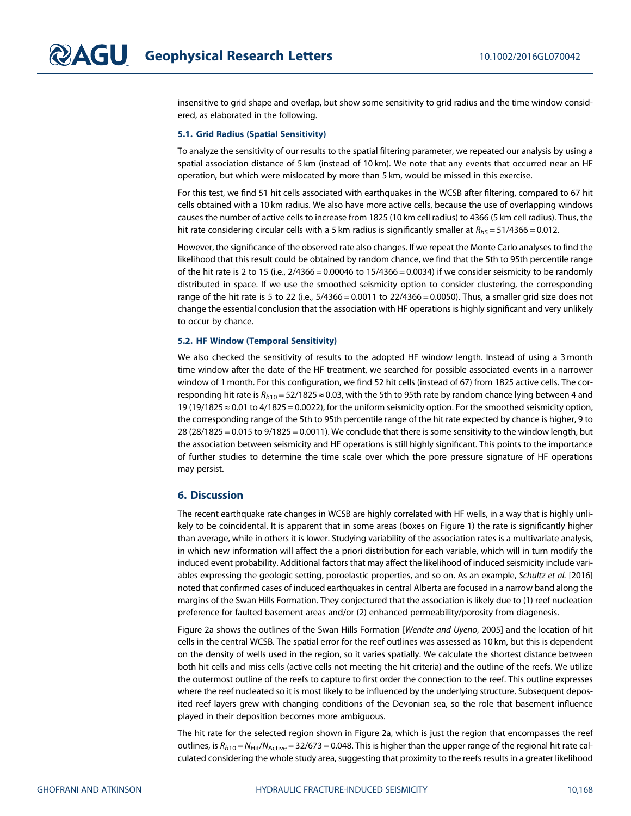insensitive to grid shape and overlap, but show some sensitivity to grid radius and the time window considered, as elaborated in the following.

### 5.1. Grid Radius (Spatial Sensitivity)

To analyze the sensitivity of our results to the spatial filtering parameter, we repeated our analysis by using a spatial association distance of 5 km (instead of 10 km). We note that any events that occurred near an HF operation, but which were mislocated by more than 5 km, would be missed in this exercise.

For this test, we find 51 hit cells associated with earthquakes in the WCSB after filtering, compared to 67 hit cells obtained with a 10 km radius. We also have more active cells, because the use of overlapping windows causes the number of active cells to increase from 1825 (10 km cell radius) to 4366 (5 km cell radius). Thus, the hit rate considering circular cells with a 5 km radius is significantly smaller at  $R_{h5} = 51/4366 = 0.012$ .

However, the significance of the observed rate also changes. If we repeat the Monte Carlo analyses to find the likelihood that this result could be obtained by random chance, we find that the 5th to 95th percentile range of the hit rate is 2 to 15 (i.e.,  $2/4366 = 0.00046$  to  $15/4366 = 0.0034$ ) if we consider seismicity to be randomly distributed in space. If we use the smoothed seismicity option to consider clustering, the corresponding range of the hit rate is 5 to 22 (i.e.,  $5/4366 = 0.0011$  to  $22/4366 = 0.0050$ ). Thus, a smaller grid size does not change the essential conclusion that the association with HF operations is highly significant and very unlikely to occur by chance.

### 5.2. HF Window (Temporal Sensitivity)

We also checked the sensitivity of results to the adopted HF window length. Instead of using a 3 month time window after the date of the HF treatment, we searched for possible associated events in a narrower window of 1 month. For this configuration, we find 52 hit cells (instead of 67) from 1825 active cells. The corresponding hit rate is  $R_{h10} = 52/1825 \approx 0.03$ , with the 5th to 95th rate by random chance lying between 4 and 19 (19/1825 ≈ 0.01 to 4/1825 = 0.0022), for the uniform seismicity option. For the smoothed seismicity option, the corresponding range of the 5th to 95th percentile range of the hit rate expected by chance is higher, 9 to 28 (28/1825 = 0.015 to 9/1825 = 0.0011). We conclude that there is some sensitivity to the window length, but the association between seismicity and HF operations is still highly significant. This points to the importance of further studies to determine the time scale over which the pore pressure signature of HF operations may persist.

### 6. Discussion

The recent earthquake rate changes in WCSB are highly correlated with HF wells, in a way that is highly unlikely to be coincidental. It is apparent that in some areas (boxes on Figure 1) the rate is significantly higher than average, while in others it is lower. Studying variability of the association rates is a multivariate analysis, in which new information will affect the a priori distribution for each variable, which will in turn modify the induced event probability. Additional factors that may affect the likelihood of induced seismicity include variables expressing the geologic setting, poroelastic properties, and so on. As an example, Schultz et al. [2016] noted that confirmed cases of induced earthquakes in central Alberta are focused in a narrow band along the margins of the Swan Hills Formation. They conjectured that the association is likely due to (1) reef nucleation preference for faulted basement areas and/or (2) enhanced permeability/porosity from diagenesis.

Figure 2a shows the outlines of the Swan Hills Formation [Wendte and Uyeno, 2005] and the location of hit cells in the central WCSB. The spatial error for the reef outlines was assessed as 10 km, but this is dependent on the density of wells used in the region, so it varies spatially. We calculate the shortest distance between both hit cells and miss cells (active cells not meeting the hit criteria) and the outline of the reefs. We utilize the outermost outline of the reefs to capture to first order the connection to the reef. This outline expresses where the reef nucleated so it is most likely to be influenced by the underlying structure. Subsequent deposited reef layers grew with changing conditions of the Devonian sea, so the role that basement influence played in their deposition becomes more ambiguous.

The hit rate for the selected region shown in Figure 2a, which is just the region that encompasses the reef outlines, is  $R_{h10} = N_{Hit}/N_{Active} = 32/673 = 0.048$ . This is higher than the upper range of the regional hit rate calculated considering the whole study area, suggesting that proximity to the reefs results in a greater likelihood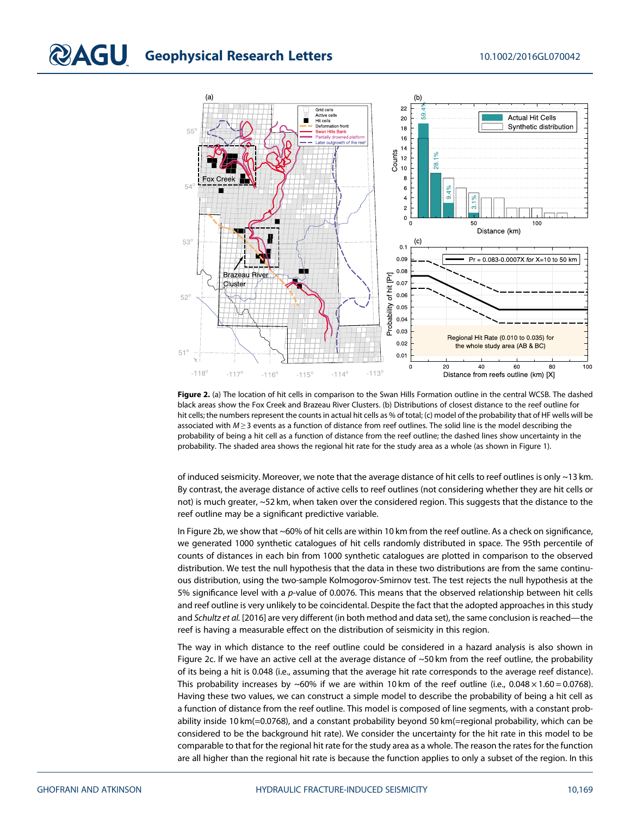

Figure 2. (a) The location of hit cells in comparison to the Swan Hills Formation outline in the central WCSB. The dashed black areas show the Fox Creek and Brazeau River Clusters. (b) Distributions of closest distance to the reef outline for hit cells; the numbers represent the counts in actual hit cells as % of total; (c) model of the probability that of HF wells will be associated with  $M \ge 3$  events as a function of distance from reef outlines. The solid line is the model describing the probability of being a hit cell as a function of distance from the reef outline; the dashed lines show uncertainty in the probability. The shaded area shows the regional hit rate for the study area as a whole (as shown in Figure 1).

of induced seismicity. Moreover, we note that the average distance of hit cells to reef outlines is only ~13 km. By contrast, the average distance of active cells to reef outlines (not considering whether they are hit cells or not) is much greater, ~52 km, when taken over the considered region. This suggests that the distance to the reef outline may be a significant predictive variable.

In Figure 2b, we show that ~60% of hit cells are within 10 km from the reef outline. As a check on significance, we generated 1000 synthetic catalogues of hit cells randomly distributed in space. The 95th percentile of counts of distances in each bin from 1000 synthetic catalogues are plotted in comparison to the observed distribution. We test the null hypothesis that the data in these two distributions are from the same continuous distribution, using the two-sample Kolmogorov-Smirnov test. The test rejects the null hypothesis at the 5% significance level with a p-value of 0.0076. This means that the observed relationship between hit cells and reef outline is very unlikely to be coincidental. Despite the fact that the adopted approaches in this study and Schultz et al. [2016] are very different (in both method and data set), the same conclusion is reached—the reef is having a measurable effect on the distribution of seismicity in this region.

The way in which distance to the reef outline could be considered in a hazard analysis is also shown in Figure 2c. If we have an active cell at the average distance of ~50 km from the reef outline, the probability of its being a hit is 0.048 (i.e., assuming that the average hit rate corresponds to the average reef distance). This probability increases by ~60% if we are within 10 km of the reef outline (i.e., 0.048  $\times$  1.60 = 0.0768). Having these two values, we can construct a simple model to describe the probability of being a hit cell as a function of distance from the reef outline. This model is composed of line segments, with a constant probability inside 10 km(=0.0768), and a constant probability beyond 50 km(=regional probability, which can be considered to be the background hit rate). We consider the uncertainty for the hit rate in this model to be comparable to that for the regional hit rate for the study area as a whole. The reason the rates for the function are all higher than the regional hit rate is because the function applies to only a subset of the region. In this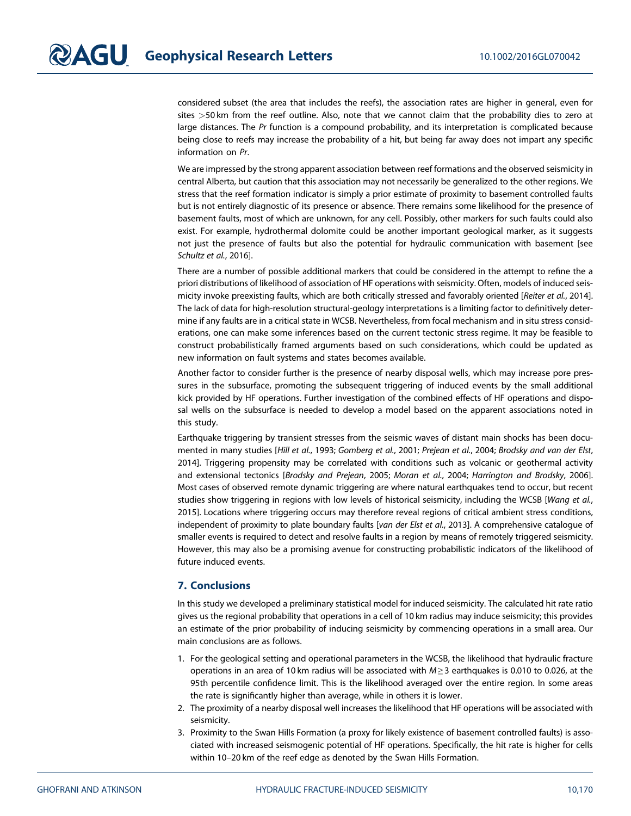considered subset (the area that includes the reefs), the association rates are higher in general, even for sites >50 km from the reef outline. Also, note that we cannot claim that the probability dies to zero at large distances. The Pr function is a compound probability, and its interpretation is complicated because being close to reefs may increase the probability of a hit, but being far away does not impart any specific information on Pr.

We are impressed by the strong apparent association between reef formations and the observed seismicity in central Alberta, but caution that this association may not necessarily be generalized to the other regions. We stress that the reef formation indicator is simply a prior estimate of proximity to basement controlled faults but is not entirely diagnostic of its presence or absence. There remains some likelihood for the presence of basement faults, most of which are unknown, for any cell. Possibly, other markers for such faults could also exist. For example, hydrothermal dolomite could be another important geological marker, as it suggests not just the presence of faults but also the potential for hydraulic communication with basement [see Schultz et al., 2016].

There are a number of possible additional markers that could be considered in the attempt to refine the a priori distributions of likelihood of association of HF operations with seismicity. Often, models of induced seismicity invoke preexisting faults, which are both critically stressed and favorably oriented [Reiter et al., 2014]. The lack of data for high-resolution structural-geology interpretations is a limiting factor to definitively determine if any faults are in a critical state in WCSB. Nevertheless, from focal mechanism and in situ stress considerations, one can make some inferences based on the current tectonic stress regime. It may be feasible to construct probabilistically framed arguments based on such considerations, which could be updated as new information on fault systems and states becomes available.

Another factor to consider further is the presence of nearby disposal wells, which may increase pore pressures in the subsurface, promoting the subsequent triggering of induced events by the small additional kick provided by HF operations. Further investigation of the combined effects of HF operations and disposal wells on the subsurface is needed to develop a model based on the apparent associations noted in this study.

Earthquake triggering by transient stresses from the seismic waves of distant main shocks has been documented in many studies [Hill et al., 1993; Gomberg et al., 2001; Prejean et al., 2004; Brodsky and van der Elst, 2014]. Triggering propensity may be correlated with conditions such as volcanic or geothermal activity and extensional tectonics [Brodsky and Prejean, 2005; Moran et al., 2004; Harrington and Brodsky, 2006]. Most cases of observed remote dynamic triggering are where natural earthquakes tend to occur, but recent studies show triggering in regions with low levels of historical seismicity, including the WCSB [Wang et al., 2015]. Locations where triggering occurs may therefore reveal regions of critical ambient stress conditions, independent of proximity to plate boundary faults [van der Elst et al., 2013]. A comprehensive catalogue of smaller events is required to detect and resolve faults in a region by means of remotely triggered seismicity. However, this may also be a promising avenue for constructing probabilistic indicators of the likelihood of future induced events.

### 7. Conclusions

In this study we developed a preliminary statistical model for induced seismicity. The calculated hit rate ratio gives us the regional probability that operations in a cell of 10 km radius may induce seismicity; this provides an estimate of the prior probability of inducing seismicity by commencing operations in a small area. Our main conclusions are as follows.

- 1. For the geological setting and operational parameters in the WCSB, the likelihood that hydraulic fracture operations in an area of 10 km radius will be associated with  $M \ge 3$  earthquakes is 0.010 to 0.026, at the 95th percentile confidence limit. This is the likelihood averaged over the entire region. In some areas the rate is significantly higher than average, while in others it is lower.
- 2. The proximity of a nearby disposal well increases the likelihood that HF operations will be associated with seismicity.
- 3. Proximity to the Swan Hills Formation (a proxy for likely existence of basement controlled faults) is associated with increased seismogenic potential of HF operations. Specifically, the hit rate is higher for cells within 10–20 km of the reef edge as denoted by the Swan Hills Formation.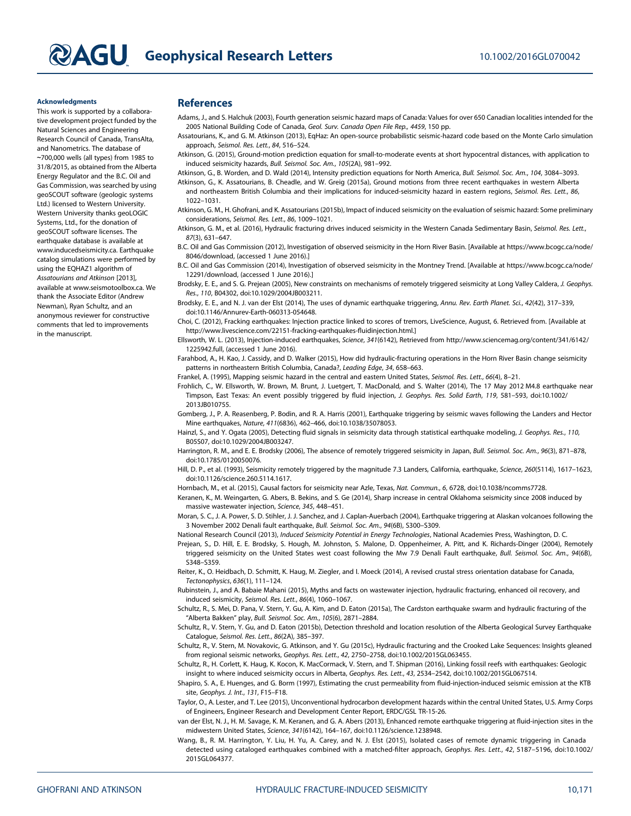#### Acknowledgments

This work is supported by a collaborative development project funded by the Natural Sciences and Engineering Research Council of Canada, TransAlta, and Nanometrics. The database of ∼700,000 wells (all types) from 1985 to 31/8/2015, as obtained from the Alberta Energy Regulator and the B.C. Oil and Gas Commission, was searched by using geoSCOUT software (geologic systems Ltd.) licensed to Western University. Western University thanks geoLOGIC Systems, Ltd., for the donation of geoSCOUT software licenses. The earthquake database is available at [www.inducedseismicity.ca.](http://www.inducedseismicity.ca) Earthquake catalog simulations were performed by using the EQHAZ1 algorithm of Assatourians and Atkinson [2013], available at [www.seismotoolbox.ca](http://www.seismotoolbox.ca). We thank the Associate Editor (Andrew Newman), Ryan Schultz, and an anonymous reviewer for constructive comments that led to improvements in the manuscript.

### **References**

- Adams, J., and S. Halchuk (2003), Fourth generation seismic hazard maps of Canada: Values for over 650 Canadian localities intended for the 2005 National Building Code of Canada, Geol. Surv. Canada Open File Rep., 4459, 150 pp.
- Assatourians, K., and G. M. Atkinson (2013), EqHaz: An open-source probabilistic seismic-hazard code based on the Monte Carlo simulation approach, Seismol. Res. Lett., 84, 516–524.
- Atkinson, G. (2015), Ground-motion prediction equation for small-to-moderate events at short hypocentral distances, with application to induced seismicity hazards, Bull. Seismol. Soc. Am., 105(2A), 981–992.
- Atkinson, G., B. Worden, and D. Wald (2014), Intensity prediction equations for North America, Bull. Seismol. Soc. Am., 104, 3084–3093.
- Atkinson, G., K. Assatourians, B. Cheadle, and W. Greig (2015a), Ground motions from three recent earthquakes in western Alberta and northeastern British Columbia and their implications for induced-seismicity hazard in eastern regions, Seismol. Res. Lett., 86, 1022–1031.
- Atkinson, G. M., H. Ghofrani, and K. Assatourians (2015b), Impact of induced seismicity on the evaluation of seismic hazard: Some preliminary considerations, Seismol. Res. Lett., 86, 1009–1021.
- Atkinson, G. M., et al. (2016), Hydraulic fracturing drives induced seismicity in the Western Canada Sedimentary Basin, Seismol. Res. Lett., 87(3), 631–647.
- B.C. Oil and Gas Commission (2012), Investigation of observed seismicity in the Horn River Basin. [Available at [https://www.bcogc.ca/node/](https://www.bcogc.ca/node/8046/download) [8046/download,](https://www.bcogc.ca/node/8046/download) (accessed 1 June 2016).]
- B.C. Oil and Gas Commission (2014), Investigation of observed seismicity in the Montney Trend. [Available at [https://www.bcogc.ca/node/](https://www.bcogc.ca/node/12291/download) [12291/download](https://www.bcogc.ca/node/12291/download), (accessed 1 June 2016).]
- Brodsky, E. E., and S. G. Prejean (2005), New constraints on mechanisms of remotely triggered seismicity at Long Valley Caldera, J. Geophys. Res., 110, B04302, doi:[10.1029/2004JB003211](http://dx.doi.org/10.1029/2004JB003211).
- Brodsky, E. E., and N. J. van der Elst (2014), The uses of dynamic earthquake triggering, Annu. Rev. Earth Planet. Sci., 42(42), 317-339, doi[:10.1146/Annurev-Earth-060313-054648.](http://dx.doi.org/10.1146/Annurev-Earth-060313-054648)
- Choi, C. (2012), Fracking earthquakes: Injection practice linked to scores of tremors, LiveScience, August, 6. Retrieved from. [Available at [http://www.livescience.com/22151-fracking-earthquakes-](http://www.livescience.com/22151-fracking-earthquakes-fluidinjection.html)fluidinjection.html.]
- Ellsworth, W. L. (2013), Injection-induced earthquakes, Science, 341(6142), Retrieved from [http://www.sciencemag.org/content/341/6142/](http://www.sciencemag.org/content/341/6142/1225942.full) [1225942.full](http://www.sciencemag.org/content/341/6142/1225942.full), (accessed 1 June 2016).
- Farahbod, A., H. Kao, J. Cassidy, and D. Walker (2015), How did hydraulic-fracturing operations in the Horn River Basin change seismicity patterns in northeastern British Columbia, Canada?, Leading Edge, 34, 658–663.
- Frankel, A. (1995), Mapping seismic hazard in the central and eastern United States, Seismol. Res. Lett., 66(4), 8–21.
- Frohlich, C., W. Ellsworth, W. Brown, M. Brunt, J. Luetgert, T. MacDonald, and S. Walter (2014), The 17 May 2012 M4.8 earthquake near Timpson, East Texas: An event possibly triggered by fluid injection, J. Geophys. Res. Solid Earth, 119, 581–593, doi:[10.1002/](http://dx.doi.org/10.1002/2013JB010755) [2013JB010755.](http://dx.doi.org/10.1002/2013JB010755)
- Gomberg, J., P. A. Reasenberg, P. Bodin, and R. A. Harris (2001), Earthquake triggering by seismic waves following the Landers and Hector Mine earthquakes, Nature, 411(6836), 462–466, doi:[10.1038/35078053](http://dx.doi.org/10.1038/35078053).
- Hainzl, S., and Y. Ogata (2005), Detecting fluid signals in seismicity data through statistical earthquake modeling, J. Geophys. Res., 110, B05S07, doi[:10.1029/2004JB003247](http://dx.doi.org/10.1029/2004JB003247).
- Harrington, R. M., and E. E. Brodsky (2006), The absence of remotely triggered seismicity in Japan, Bull. Seismol. Soc. Am., 96(3), 871-878, doi[:10.1785/0120050076](http://dx.doi.org/10.1785/0120050076).
- Hill, D. P., et al. (1993), Seismicity remotely triggered by the magnitude 7.3 Landers, California, earthquake, Science, 260(5114), 1617–1623, doi[:10.1126/science.260.5114.1617.](http://dx.doi.org/10.1126/science.260.5114.1617)
- Hornbach, M., et al. (2015), Causal factors for seismicity near Azle, Texas, Nat. Commun., 6, 6728, doi:[10.1038/ncomms7728](http://dx.doi.org/10.1038/ncomms7728).
- Keranen, K., M. Weingarten, G. Abers, B. Bekins, and S. Ge (2014), Sharp increase in central Oklahoma seismicity since 2008 induced by massive wastewater injection, Science, 345, 448–451.
- Moran, S. C., J. A. Power, S. D. Stihler, J. J. Sanchez, and J. Caplan-Auerbach (2004), Earthquake triggering at Alaskan volcanoes following the 3 November 2002 Denali fault earthquake, Bull. Seismol. Soc. Am., 94(6B), S300–S309.
- National Research Council (2013), Induced Seismicity Potential in Energy Technologies, National Academies Press, Washington, D. C.

Prejean, S., D. Hill, E. E. Brodsky, S. Hough, M. Johnston, S. Malone, D. Oppenheimer, A. Pitt, and K. Richards-Dinger (2004), Remotely triggered seismicity on the United States west coast following the Mw 7.9 Denali Fault earthquake, Bull. Seismol. Soc. Am., 94(6B). S348–S359.

Reiter, K., O. Heidbach, D. Schmitt, K. Haug, M. Ziegler, and I. Moeck (2014), A revised crustal stress orientation database for Canada, Tectonophysics, 636(1), 111–124.

- Rubinstein, J., and A. Babaie Mahani (2015), Myths and facts on wastewater injection, hydraulic fracturing, enhanced oil recovery, and induced seismicity, Seismol. Res. Lett., 86(4), 1060–1067.
- Schultz, R., S. Mei, D. Pana, V. Stern, Y. Gu, A. Kim, and D. Eaton (2015a), The Cardston earthquake swarm and hydraulic fracturing of the "Alberta Bakken" play, Bull. Seismol. Soc. Am., 105(6), 2871–2884.
- Schultz, R., V. Stern, Y. Gu, and D. Eaton (2015b), Detection threshold and location resolution of the Alberta Geological Survey Earthquake Catalogue, Seismol. Res. Lett., 86(2A), 385–397.
- Schultz, R., V. Stern, M. Novakovic, G. Atkinson, and Y. Gu (2015c), Hydraulic fracturing and the Crooked Lake Sequences: Insights gleaned from regional seismic networks, Geophys. Res. Lett., 42, 2750–2758, doi[:10.1002/2015GL063455.](http://dx.doi.org/10.1002/2015GL063455)
- Schultz, R., H. Corlett, K. Haug, K. Kocon, K. MacCormack, V. Stern, and T. Shipman (2016), Linking fossil reefs with earthquakes: Geologic insight to where induced seismicity occurs in Alberta, Geophys. Res. Lett., 43, 2534–2542, doi:[10.1002/2015GL067514.](http://dx.doi.org/10.1002/2015GL067514)
- Shapiro, S. A., E. Huenges, and G. Borm (1997), Estimating the crust permeability from fluid-injection-induced seismic emission at the KTB site, Geophys. J. Int., 131, F15–F18.
- Taylor, O., A. Lester, and T. Lee (2015), Unconventional hydrocarbon development hazards within the central United States, U.S. Army Corps of Engineers, Engineer Research and Development Center Report, ERDC/GSL TR-15-26.
- van der Elst, N. J., H. M. Savage, K. M. Keranen, and G. A. Abers (2013), Enhanced remote earthquake triggering at fluid-injection sites in the midwestern United States, Science, 341(6142), 164–167, doi[:10.1126/science.1238948](http://dx.doi.org/10.1126/science.1238948).
- Wang, B., R. M. Harrington, Y. Liu, H. Yu, A. Carey, and N. J. Elst (2015), Isolated cases of remote dynamic triggering in Canada detected using cataloged earthquakes combined with a matched-filter approach, Geophys. Res. Lett., 42, 5187–5196, doi:[10.1002/](http://dx.doi.org/10.1002/2015GL064377) [2015GL064377](http://dx.doi.org/10.1002/2015GL064377).